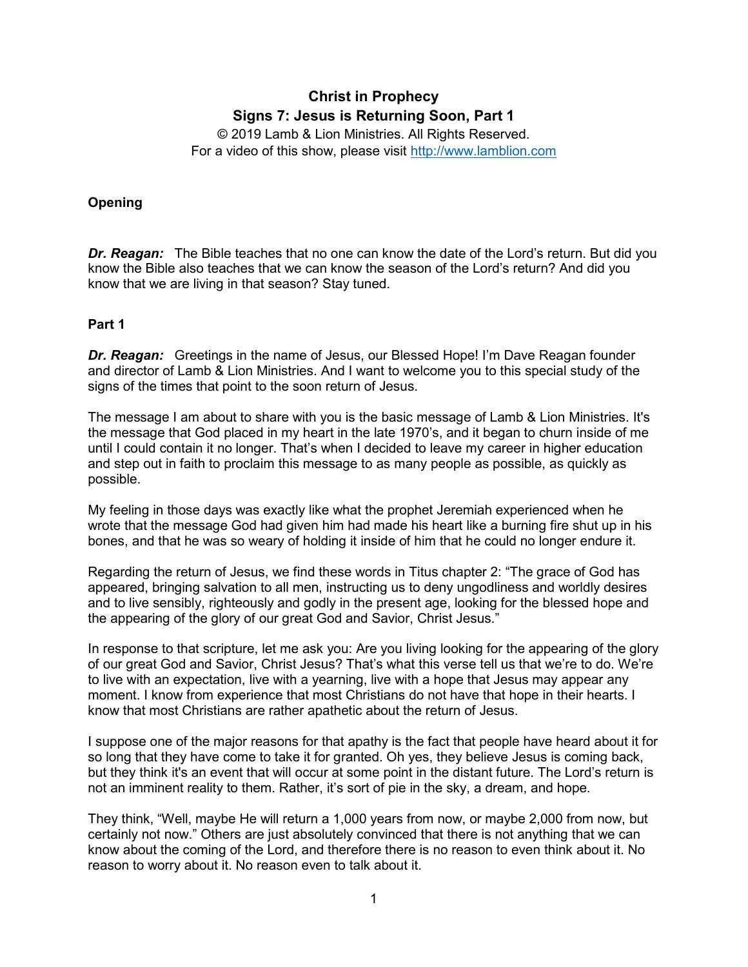# **Christ in Prophecy Signs 7: Jesus is Returning Soon, Part 1**

© 2019 Lamb & Lion Ministries. All Rights Reserved. For a video of this show, please visit [http://www.lamblion.com](http://www.lamblion.com/)

## **Opening**

*Dr. Reagan:* The Bible teaches that no one can know the date of the Lord's return. But did you know the Bible also teaches that we can know the season of the Lord's return? And did you know that we are living in that season? Stay tuned.

#### **Part 1**

*Dr. Reagan:* Greetings in the name of Jesus, our Blessed Hope! I'm Dave Reagan founder and director of Lamb & Lion Ministries. And I want to welcome you to this special study of the signs of the times that point to the soon return of Jesus.

The message I am about to share with you is the basic message of Lamb & Lion Ministries. It's the message that God placed in my heart in the late 1970's, and it began to churn inside of me until I could contain it no longer. That's when I decided to leave my career in higher education and step out in faith to proclaim this message to as many people as possible, as quickly as possible.

My feeling in those days was exactly like what the prophet Jeremiah experienced when he wrote that the message God had given him had made his heart like a burning fire shut up in his bones, and that he was so weary of holding it inside of him that he could no longer endure it.

Regarding the return of Jesus, we find these words in Titus chapter 2: "The grace of God has appeared, bringing salvation to all men, instructing us to deny ungodliness and worldly desires and to live sensibly, righteously and godly in the present age, looking for the blessed hope and the appearing of the glory of our great God and Savior, Christ Jesus."

In response to that scripture, let me ask you: Are you living looking for the appearing of the glory of our great God and Savior, Christ Jesus? That's what this verse tell us that we're to do. We're to live with an expectation, live with a yearning, live with a hope that Jesus may appear any moment. I know from experience that most Christians do not have that hope in their hearts. I know that most Christians are rather apathetic about the return of Jesus.

I suppose one of the major reasons for that apathy is the fact that people have heard about it for so long that they have come to take it for granted. Oh yes, they believe Jesus is coming back, but they think it's an event that will occur at some point in the distant future. The Lord's return is not an imminent reality to them. Rather, it's sort of pie in the sky, a dream, and hope.

They think, "Well, maybe He will return a 1,000 years from now, or maybe 2,000 from now, but certainly not now." Others are just absolutely convinced that there is not anything that we can know about the coming of the Lord, and therefore there is no reason to even think about it. No reason to worry about it. No reason even to talk about it.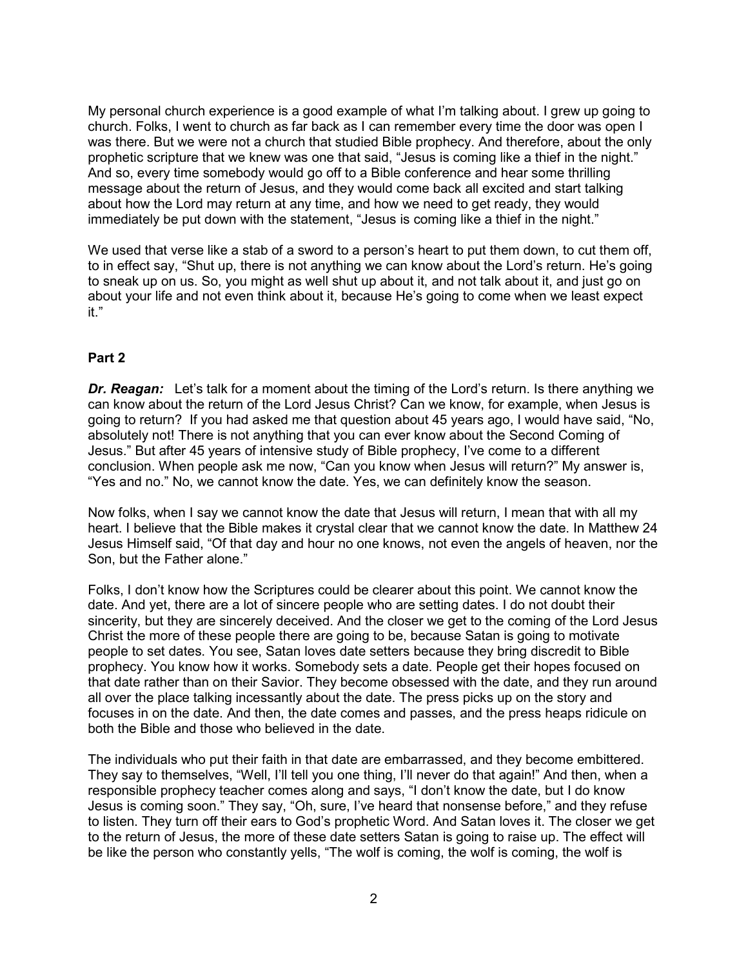My personal church experience is a good example of what I'm talking about. I grew up going to church. Folks, I went to church as far back as I can remember every time the door was open I was there. But we were not a church that studied Bible prophecy. And therefore, about the only prophetic scripture that we knew was one that said, "Jesus is coming like a thief in the night." And so, every time somebody would go off to a Bible conference and hear some thrilling message about the return of Jesus, and they would come back all excited and start talking about how the Lord may return at any time, and how we need to get ready, they would immediately be put down with the statement, "Jesus is coming like a thief in the night."

We used that verse like a stab of a sword to a person's heart to put them down, to cut them off, to in effect say, "Shut up, there is not anything we can know about the Lord's return. He's going to sneak up on us. So, you might as well shut up about it, and not talk about it, and just go on about your life and not even think about it, because He's going to come when we least expect it."

#### **Part 2**

*Dr. Reagan:* Let's talk for a moment about the timing of the Lord's return. Is there anything we can know about the return of the Lord Jesus Christ? Can we know, for example, when Jesus is going to return? If you had asked me that question about 45 years ago, I would have said, "No, absolutely not! There is not anything that you can ever know about the Second Coming of Jesus." But after 45 years of intensive study of Bible prophecy, I've come to a different conclusion. When people ask me now, "Can you know when Jesus will return?" My answer is, "Yes and no." No, we cannot know the date. Yes, we can definitely know the season.

Now folks, when I say we cannot know the date that Jesus will return, I mean that with all my heart. I believe that the Bible makes it crystal clear that we cannot know the date. In Matthew 24 Jesus Himself said, "Of that day and hour no one knows, not even the angels of heaven, nor the Son, but the Father alone."

Folks, I don't know how the Scriptures could be clearer about this point. We cannot know the date. And yet, there are a lot of sincere people who are setting dates. I do not doubt their sincerity, but they are sincerely deceived. And the closer we get to the coming of the Lord Jesus Christ the more of these people there are going to be, because Satan is going to motivate people to set dates. You see, Satan loves date setters because they bring discredit to Bible prophecy. You know how it works. Somebody sets a date. People get their hopes focused on that date rather than on their Savior. They become obsessed with the date, and they run around all over the place talking incessantly about the date. The press picks up on the story and focuses in on the date. And then, the date comes and passes, and the press heaps ridicule on both the Bible and those who believed in the date.

The individuals who put their faith in that date are embarrassed, and they become embittered. They say to themselves, "Well, I'll tell you one thing, I'll never do that again!" And then, when a responsible prophecy teacher comes along and says, "I don't know the date, but I do know Jesus is coming soon." They say, "Oh, sure, I've heard that nonsense before," and they refuse to listen. They turn off their ears to God's prophetic Word. And Satan loves it. The closer we get to the return of Jesus, the more of these date setters Satan is going to raise up. The effect will be like the person who constantly yells, "The wolf is coming, the wolf is coming, the wolf is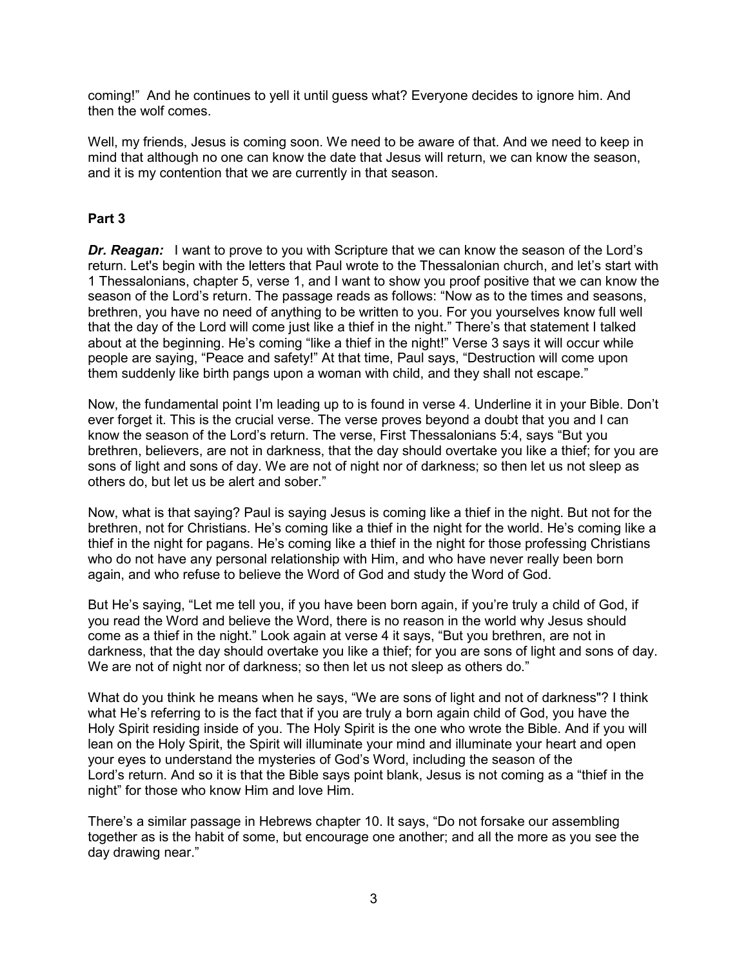coming!" And he continues to yell it until guess what? Everyone decides to ignore him. And then the wolf comes.

Well, my friends, Jesus is coming soon. We need to be aware of that. And we need to keep in mind that although no one can know the date that Jesus will return, we can know the season, and it is my contention that we are currently in that season.

### **Part 3**

**Dr. Reagan:** I want to prove to you with Scripture that we can know the season of the Lord's return. Let's begin with the letters that Paul wrote to the Thessalonian church, and let's start with 1 Thessalonians, chapter 5, verse 1, and I want to show you proof positive that we can know the season of the Lord's return. The passage reads as follows: "Now as to the times and seasons, brethren, you have no need of anything to be written to you. For you yourselves know full well that the day of the Lord will come just like a thief in the night." There's that statement I talked about at the beginning. He's coming "like a thief in the night!" Verse 3 says it will occur while people are saying, "Peace and safety!" At that time, Paul says, "Destruction will come upon them suddenly like birth pangs upon a woman with child, and they shall not escape."

Now, the fundamental point I'm leading up to is found in verse 4. Underline it in your Bible. Don't ever forget it. This is the crucial verse. The verse proves beyond a doubt that you and I can know the season of the Lord's return. The verse, First Thessalonians 5:4, says "But you brethren, believers, are not in darkness, that the day should overtake you like a thief; for you are sons of light and sons of day. We are not of night nor of darkness; so then let us not sleep as others do, but let us be alert and sober."

Now, what is that saying? Paul is saying Jesus is coming like a thief in the night. But not for the brethren, not for Christians. He's coming like a thief in the night for the world. He's coming like a thief in the night for pagans. He's coming like a thief in the night for those professing Christians who do not have any personal relationship with Him, and who have never really been born again, and who refuse to believe the Word of God and study the Word of God.

But He's saying, "Let me tell you, if you have been born again, if you're truly a child of God, if you read the Word and believe the Word, there is no reason in the world why Jesus should come as a thief in the night." Look again at verse 4 it says, "But you brethren, are not in darkness, that the day should overtake you like a thief; for you are sons of light and sons of day. We are not of night nor of darkness; so then let us not sleep as others do."

What do you think he means when he says, "We are sons of light and not of darkness"? I think what He's referring to is the fact that if you are truly a born again child of God, you have the Holy Spirit residing inside of you. The Holy Spirit is the one who wrote the Bible. And if you will lean on the Holy Spirit, the Spirit will illuminate your mind and illuminate your heart and open your eyes to understand the mysteries of God's Word, including the season of the Lord's return. And so it is that the Bible says point blank, Jesus is not coming as a "thief in the night" for those who know Him and love Him.

There's a similar passage in Hebrews chapter 10. It says, "Do not forsake our assembling together as is the habit of some, but encourage one another; and all the more as you see the day drawing near."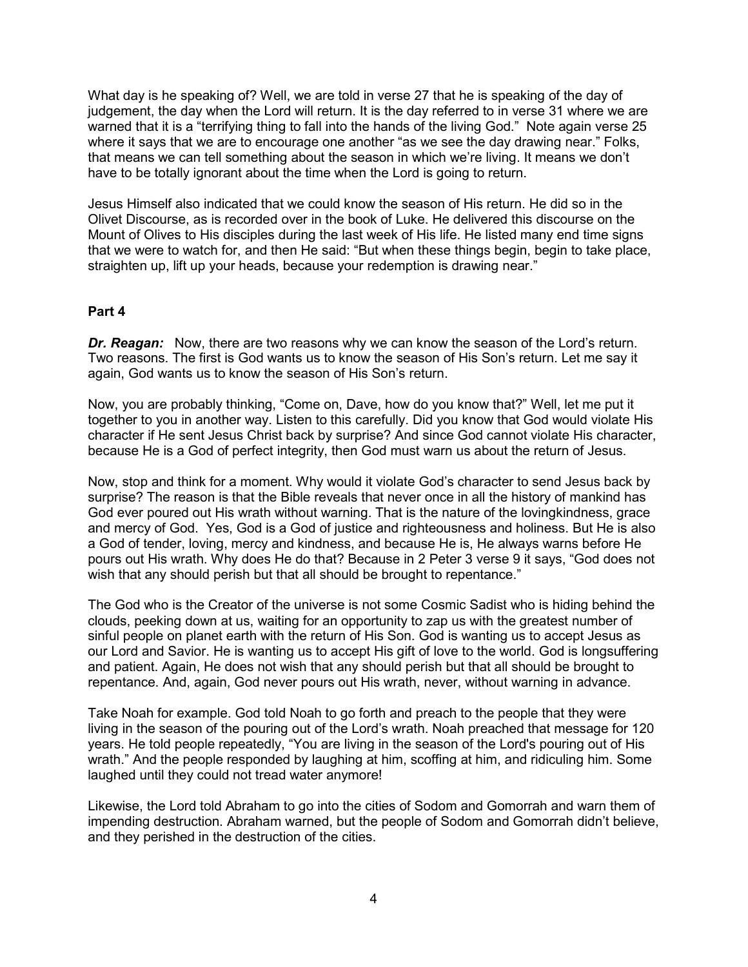What day is he speaking of? Well, we are told in verse 27 that he is speaking of the day of judgement, the day when the Lord will return. It is the day referred to in verse 31 where we are warned that it is a "terrifying thing to fall into the hands of the living God." Note again verse 25 where it says that we are to encourage one another "as we see the day drawing near." Folks, that means we can tell something about the season in which we're living. It means we don't have to be totally ignorant about the time when the Lord is going to return.

Jesus Himself also indicated that we could know the season of His return. He did so in the Olivet Discourse, as is recorded over in the book of Luke. He delivered this discourse on the Mount of Olives to His disciples during the last week of His life. He listed many end time signs that we were to watch for, and then He said: "But when these things begin, begin to take place, straighten up, lift up your heads, because your redemption is drawing near."

#### **Part 4**

*Dr. Reagan:* Now, there are two reasons why we can know the season of the Lord's return. Two reasons. The first is God wants us to know the season of His Son's return. Let me say it again, God wants us to know the season of His Son's return.

Now, you are probably thinking, "Come on, Dave, how do you know that?" Well, let me put it together to you in another way. Listen to this carefully. Did you know that God would violate His character if He sent Jesus Christ back by surprise? And since God cannot violate His character, because He is a God of perfect integrity, then God must warn us about the return of Jesus.

Now, stop and think for a moment. Why would it violate God's character to send Jesus back by surprise? The reason is that the Bible reveals that never once in all the history of mankind has God ever poured out His wrath without warning. That is the nature of the lovingkindness, grace and mercy of God. Yes, God is a God of justice and righteousness and holiness. But He is also a God of tender, loving, mercy and kindness, and because He is, He always warns before He pours out His wrath. Why does He do that? Because in 2 Peter 3 verse 9 it says, "God does not wish that any should perish but that all should be brought to repentance."

The God who is the Creator of the universe is not some Cosmic Sadist who is hiding behind the clouds, peeking down at us, waiting for an opportunity to zap us with the greatest number of sinful people on planet earth with the return of His Son. God is wanting us to accept Jesus as our Lord and Savior. He is wanting us to accept His gift of love to the world. God is longsuffering and patient. Again, He does not wish that any should perish but that all should be brought to repentance. And, again, God never pours out His wrath, never, without warning in advance.

Take Noah for example. God told Noah to go forth and preach to the people that they were living in the season of the pouring out of the Lord's wrath. Noah preached that message for 120 years. He told people repeatedly, "You are living in the season of the Lord's pouring out of His wrath." And the people responded by laughing at him, scoffing at him, and ridiculing him. Some laughed until they could not tread water anymore!

Likewise, the Lord told Abraham to go into the cities of Sodom and Gomorrah and warn them of impending destruction. Abraham warned, but the people of Sodom and Gomorrah didn't believe, and they perished in the destruction of the cities.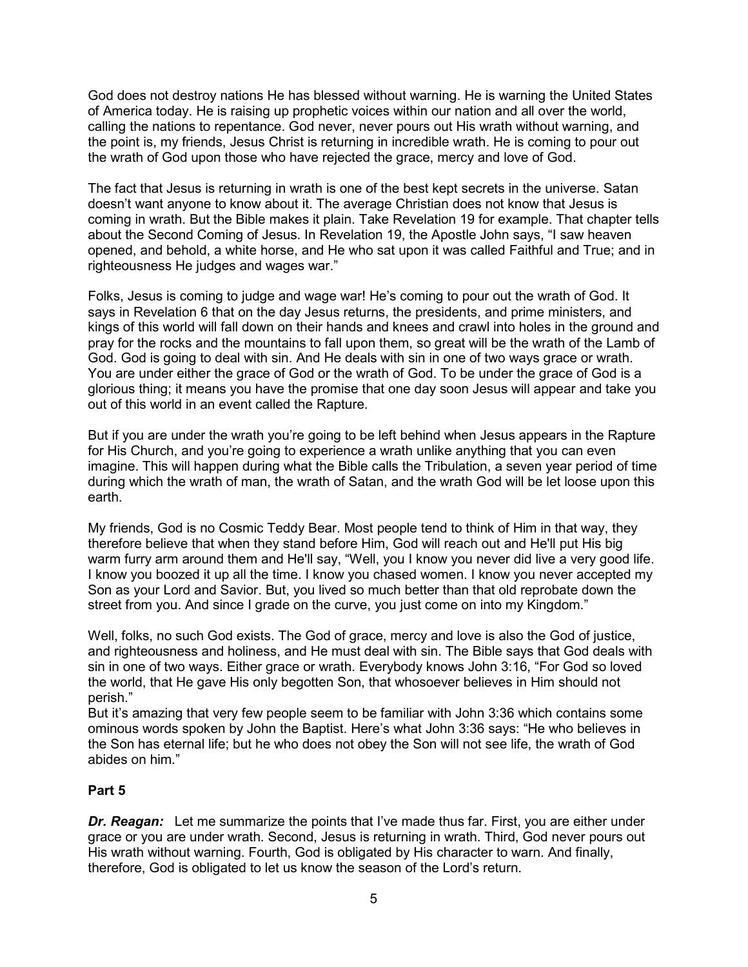God does not destroy nations He has blessed without warning. He is warning the United States of America today. He is raising up prophetic voices within our nation and all over the world, calling the nations to repentance. God never, never pours out His wrath without warning, and the point is, my friends, Jesus Christ is returning in incredible wrath. He is coming to pour out the wrath of God upon those who have rejected the grace, mercy and love of God.

The fact that Jesus is returning in wrath is one of the best kept secrets in the universe. Satan doesn't want anyone to know about it. The average Christian does not know that Jesus is coming in wrath. But the Bible makes it plain. Take Revelation 19 for example. That chapter tells about the Second Coming of Jesus. In Revelation 19, the Apostle John says, "I saw heaven opened, and behold, a white horse, and He who sat upon it was called Faithful and True; and in righteousness He judges and wages war."

Folks, Jesus is coming to judge and wage war! He's coming to pour out the wrath of God. It says in Revelation 6 that on the day Jesus returns, the presidents, and prime ministers, and kings of this world will fall down on their hands and knees and crawl into holes in the ground and pray for the rocks and the mountains to fall upon them, so great will be the wrath of the Lamb of God. God is going to deal with sin. And He deals with sin in one of two ways grace or wrath. You are under either the grace of God or the wrath of God. To be under the grace of God is a glorious thing; it means you have the promise that one day soon Jesus will appear and take you out of this world in an event called the Rapture.

But if you are under the wrath you're going to be left behind when Jesus appears in the Rapture for His Church, and you're going to experience a wrath unlike anything that you can even imagine. This will happen during what the Bible calls the Tribulation, a seven year period of time during which the wrath of man, the wrath of Satan, and the wrath God will be let loose upon this earth.

My friends, God is no Cosmic Teddy Bear. Most people tend to think of Him in that way, they therefore believe that when they stand before Him, God will reach out and He'll put His big warm furry arm around them and He'll say, "Well, you I know you never did live a very good life. I know you boozed it up all the time. I know you chased women. I know you never accepted my Son as your Lord and Savior. But, you lived so much better than that old reprobate down the street from you. And since I grade on the curve, you just come on into my Kingdom."

Well, folks, no such God exists. The God of grace, mercy and love is also the God of justice, and righteousness and holiness, and He must deal with sin. The Bible says that God deals with sin in one of two ways. Either grace or wrath. Everybody knows John 3:16, "For God so loved the world, that He gave His only begotten Son, that whosoever believes in Him should not perish."

But it's amazing that very few people seem to be familiar with John 3:36 which contains some ominous words spoken by John the Baptist. Here's what John 3:36 says: "He who believes in the Son has eternal life; but he who does not obey the Son will not see life, the wrath of God abides on him."

# **Part 5**

*Dr. Reagan:* Let me summarize the points that I've made thus far. First, you are either under grace or you are under wrath. Second, Jesus is returning in wrath. Third, God never pours out His wrath without warning. Fourth, God is obligated by His character to warn. And finally, therefore, God is obligated to let us know the season of the Lord's return.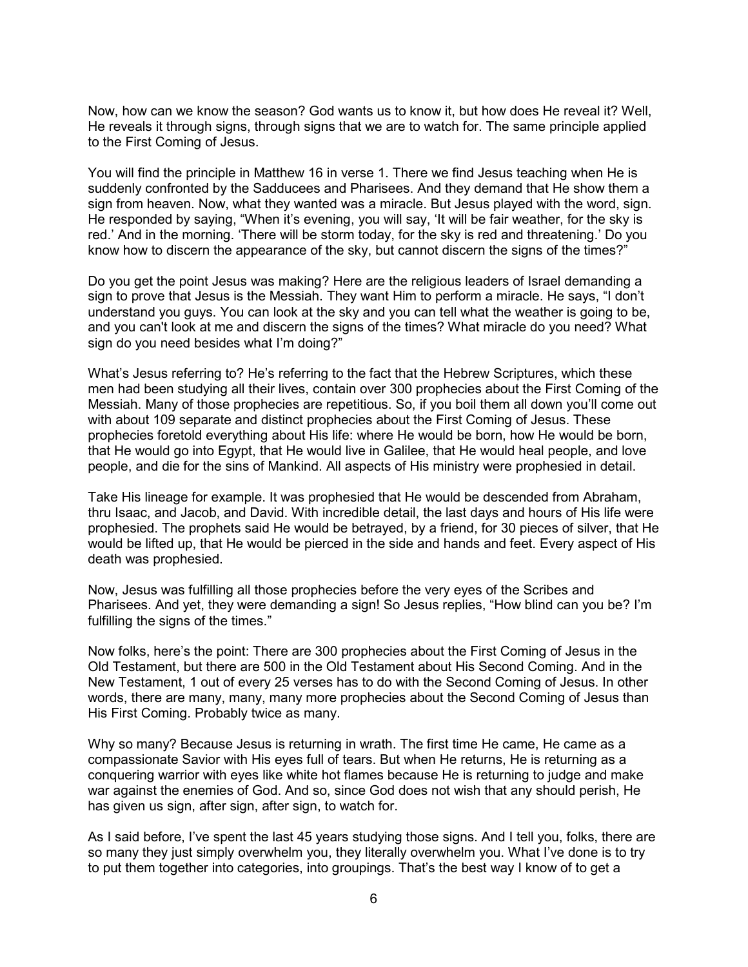Now, how can we know the season? God wants us to know it, but how does He reveal it? Well, He reveals it through signs, through signs that we are to watch for. The same principle applied to the First Coming of Jesus.

You will find the principle in Matthew 16 in verse 1. There we find Jesus teaching when He is suddenly confronted by the Sadducees and Pharisees. And they demand that He show them a sign from heaven. Now, what they wanted was a miracle. But Jesus played with the word, sign. He responded by saying, "When it's evening, you will say, 'It will be fair weather, for the sky is red.' And in the morning. 'There will be storm today, for the sky is red and threatening.' Do you know how to discern the appearance of the sky, but cannot discern the signs of the times?"

Do you get the point Jesus was making? Here are the religious leaders of Israel demanding a sign to prove that Jesus is the Messiah. They want Him to perform a miracle. He says, "I don't understand you guys. You can look at the sky and you can tell what the weather is going to be, and you can't look at me and discern the signs of the times? What miracle do you need? What sign do you need besides what I'm doing?"

What's Jesus referring to? He's referring to the fact that the Hebrew Scriptures, which these men had been studying all their lives, contain over 300 prophecies about the First Coming of the Messiah. Many of those prophecies are repetitious. So, if you boil them all down you'll come out with about 109 separate and distinct prophecies about the First Coming of Jesus. These prophecies foretold everything about His life: where He would be born, how He would be born, that He would go into Egypt, that He would live in Galilee, that He would heal people, and love people, and die for the sins of Mankind. All aspects of His ministry were prophesied in detail.

Take His lineage for example. It was prophesied that He would be descended from Abraham, thru Isaac, and Jacob, and David. With incredible detail, the last days and hours of His life were prophesied. The prophets said He would be betrayed, by a friend, for 30 pieces of silver, that He would be lifted up, that He would be pierced in the side and hands and feet. Every aspect of His death was prophesied.

Now, Jesus was fulfilling all those prophecies before the very eyes of the Scribes and Pharisees. And yet, they were demanding a sign! So Jesus replies, "How blind can you be? I'm fulfilling the signs of the times."

Now folks, here's the point: There are 300 prophecies about the First Coming of Jesus in the Old Testament, but there are 500 in the Old Testament about His Second Coming. And in the New Testament, 1 out of every 25 verses has to do with the Second Coming of Jesus. In other words, there are many, many, many more prophecies about the Second Coming of Jesus than His First Coming. Probably twice as many.

Why so many? Because Jesus is returning in wrath. The first time He came, He came as a compassionate Savior with His eyes full of tears. But when He returns, He is returning as a conquering warrior with eyes like white hot flames because He is returning to judge and make war against the enemies of God. And so, since God does not wish that any should perish, He has given us sign, after sign, after sign, to watch for.

As I said before, I've spent the last 45 years studying those signs. And I tell you, folks, there are so many they just simply overwhelm you, they literally overwhelm you. What I've done is to try to put them together into categories, into groupings. That's the best way I know of to get a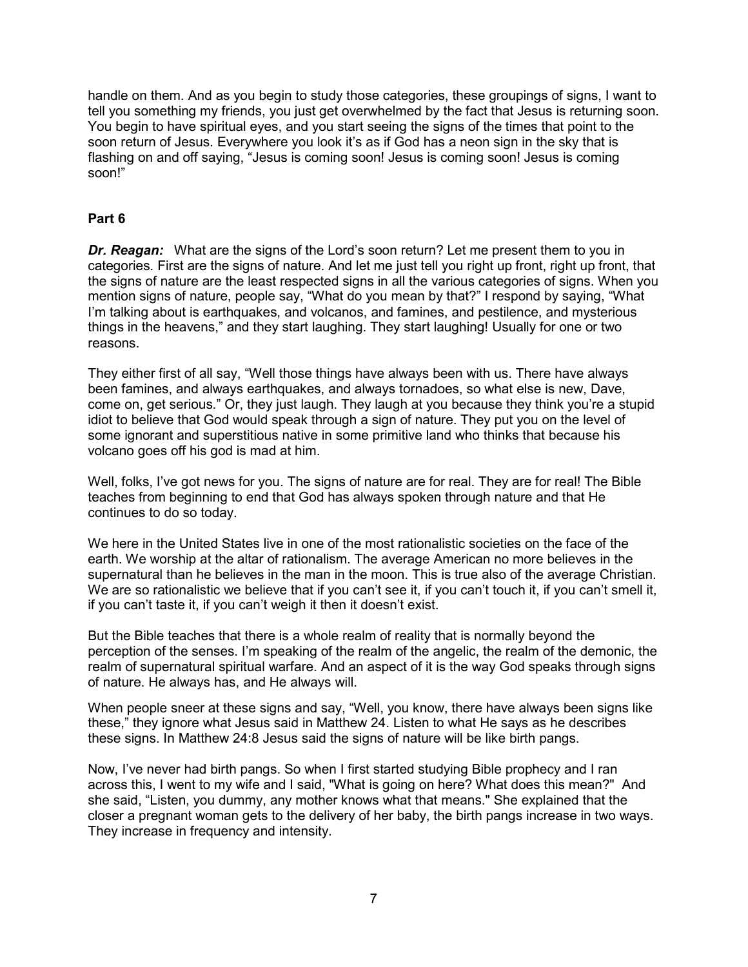handle on them. And as you begin to study those categories, these groupings of signs, I want to tell you something my friends, you just get overwhelmed by the fact that Jesus is returning soon. You begin to have spiritual eyes, and you start seeing the signs of the times that point to the soon return of Jesus. Everywhere you look it's as if God has a neon sign in the sky that is flashing on and off saying, "Jesus is coming soon! Jesus is coming soon! Jesus is coming soon!"

## **Part 6**

*Dr. Reagan:* What are the signs of the Lord's soon return? Let me present them to you in categories. First are the signs of nature. And let me just tell you right up front, right up front, that the signs of nature are the least respected signs in all the various categories of signs. When you mention signs of nature, people say, "What do you mean by that?" I respond by saying, "What I'm talking about is earthquakes, and volcanos, and famines, and pestilence, and mysterious things in the heavens," and they start laughing. They start laughing! Usually for one or two reasons.

They either first of all say, "Well those things have always been with us. There have always been famines, and always earthquakes, and always tornadoes, so what else is new, Dave, come on, get serious." Or, they just laugh. They laugh at you because they think you're a stupid idiot to believe that God would speak through a sign of nature. They put you on the level of some ignorant and superstitious native in some primitive land who thinks that because his volcano goes off his god is mad at him.

Well, folks, I've got news for you. The signs of nature are for real. They are for real! The Bible teaches from beginning to end that God has always spoken through nature and that He continues to do so today.

We here in the United States live in one of the most rationalistic societies on the face of the earth. We worship at the altar of rationalism. The average American no more believes in the supernatural than he believes in the man in the moon. This is true also of the average Christian. We are so rationalistic we believe that if you can't see it, if you can't touch it, if you can't smell it, if you can't taste it, if you can't weigh it then it doesn't exist.

But the Bible teaches that there is a whole realm of reality that is normally beyond the perception of the senses. I'm speaking of the realm of the angelic, the realm of the demonic, the realm of supernatural spiritual warfare. And an aspect of it is the way God speaks through signs of nature. He always has, and He always will.

When people sneer at these signs and say, "Well, you know, there have always been signs like these," they ignore what Jesus said in Matthew 24. Listen to what He says as he describes these signs. In Matthew 24:8 Jesus said the signs of nature will be like birth pangs.

Now, I've never had birth pangs. So when I first started studying Bible prophecy and I ran across this, I went to my wife and I said, "What is going on here? What does this mean?" And she said, "Listen, you dummy, any mother knows what that means." She explained that the closer a pregnant woman gets to the delivery of her baby, the birth pangs increase in two ways. They increase in frequency and intensity.